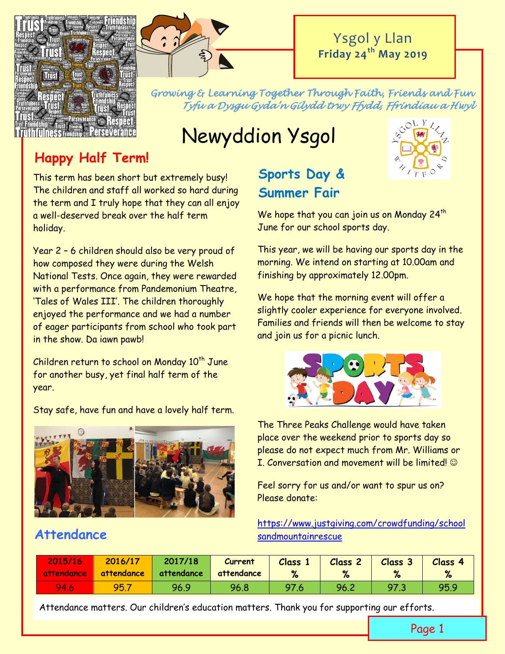



# Ysgol y Llan **Friday 24th May 2019**

*Growing & Learning Together Through Faith, Friends and Fun Tyfu a Dysgu Gyda'n Gilydd trwy Ffydd, Ffrindiau a Hwyl* 

# Newyddion Ysgol

# **Happy Half Term!**

This term has been short but extremely busy! The children and staff all worked so hard during the term and I truly hope that they can all enjoy a well-deserved break over the half term holiday.

Year 2 – 6 children should also be very proud of how composed they were during the Welsh National Tests. Once again, they were rewarded with a performance from Pandemonium Theatre, 'Tales of Wales III'. The children thoroughly enjoyed the performance and we had a number of eager participants from school who took part in the show. Da iawn pawb!

Children return to school on Monday  $10^{th}$  June for another busy, yet final half term of the year.

Stay safe, have fun and have a lovely half term.



# **Attendance**

# **Sports Day & Summer Fair**



 $60LY$ 

We hope that you can join us on Monday  $24<sup>th</sup>$ June for our school sports day.

This year, we will be having our sports day in the morning. We intend on starting at 10.00am and finishing by approximately 12.00pm.

We hope that the morning event will offer a slightly cooler experience for everyone involved. Families and friends will then be welcome to stay and join us for a picnic lunch.



The Three Peaks Challenge would have taken place over the weekend prior to sports day so please do not expect much from Mr. Williams or I. Conversation and movement will be limited  $\odot$ 

Feel sorry for us and/or want to spur us on? Please donate:

[https://www.justgiving.com/crowdfunding/school](https://www.justgiving.com/crowdfunding/schoolsandmountainrescue) [sandmountainrescue](https://www.justgiving.com/crowdfunding/schoolsandmountainrescue)

| 2015/16<br>  attendance | 2016/17<br>attendance | 2017/18<br>attendance | Current<br>attendance | <b>Class</b><br>% | Class <sub>2</sub> | <b>Class 3</b> | <b>Class 4</b><br>% |
|-------------------------|-----------------------|-----------------------|-----------------------|-------------------|--------------------|----------------|---------------------|
| 94.6                    | 95.7                  | 96.9                  | 96.8                  | 97.6              | 96.2               | 97.3           | 95.9                |

Attendance matters. Our children's education matters. Thank you for supporting our efforts.

Page 1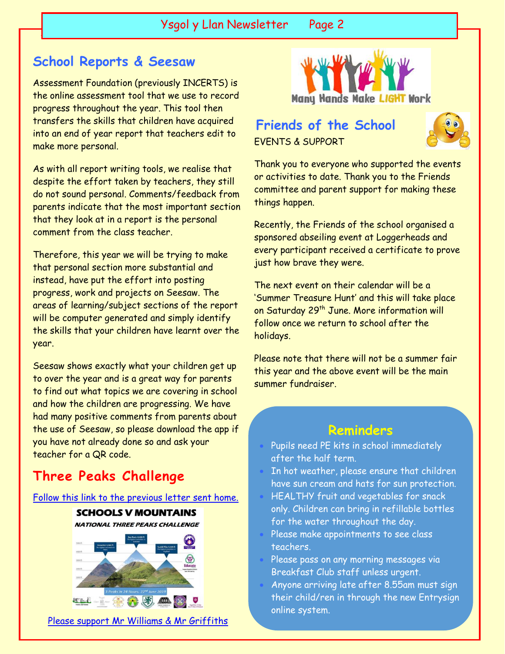# **School Reports & Seesaw**

 $\overline{\phantom{a}}$ 

Assessment Foundation (previously INCERTS) is the online assessment tool that we use to record progress throughout the year. This tool then transfers the skills that children have acquired into an end of year report that teachers edit to make more personal.

As with all report writing tools, we realise that despite the effort taken by teachers, they still do not sound personal. Comments/feedback from parents indicate that the most important section that they look at in a report is the personal comment from the class teacher.

Therefore, this year we will be trying to make that personal section more substantial and instead, have put the effort into posting progress, work and projects on Seesaw. The areas of learning/subject sections of the report will be computer generated and simply identify the skills that your children have learnt over the year.

Seesaw shows exactly what your children get up to over the year and is a great way for parents to find out what topics we are covering in school and how the children are progressing. We have had many positive comments from parents about the use of Seesaw, so please download the app if you have not already done so and ask your teacher for a QR code.

# **Three Peaks Challenge**

[Follow this link to the previous letter sent home.](http://www.ysgolyllan.co.uk/uploads/6/0/9/8/60987703/schools_v_mountains_letter_to_parents.pdf)



[Please support Mr Williams & Mr Griffiths](https://www.justgiving.com/crowdfunding/schoolsandmountainrescue?utm_term=rqe2pGD6W)



# EVENTS & SUPPORT **Friends of the School**



Thank you to everyone who supported the events or activities to date. Thank you to the Friends committee and parent support for making these things happen.

Recently, the Friends of the school organised a sponsored abseiling event at Loggerheads and every participant received a certificate to prove just how brave they were.

The next event on their calendar will be a 'Summer Treasure Hunt' and this will take place on Saturday 29<sup>th</sup> June. More information will follow once we return to school after the holidays.

Please note that there will not be a summer fair this year and the above event will be the main summer fundraiser.

### **Reminders**

- Pupils need PE kits in school immediately after the half term.
- In hot weather, please ensure that children have sun cream and hats for sun protection.
- HEALTHY fruit and vegetables for snack only. Children can bring in refillable bottles for the water throughout the day.
- Please make appointments to see class teachers.
- Please pass on any morning messages via Breakfast Club staff unless urgent.
- Anyone arriving late after 8.55am must sign their child/ren in through the new Entrysign online system.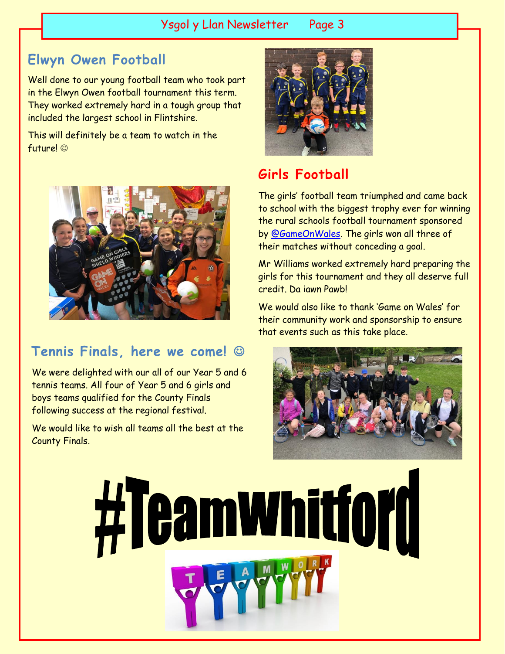### Ysgol y Llan Newsletter Page 3

# **Elwyn Owen Football**

Well done to our young football team who took part in the Elwyn Owen football tournament this term. They worked extremely hard in a tough group that included the largest school in Flintshire.

This will definitely be a team to watch in the future! ©



# **Tennis Finals, here we come!**

We were delighted with our all of our Year 5 and 6 tennis teams. All four of Year 5 and 6 girls and boys teams qualified for the County Finals following success at the regional festival.

We would like to wish all teams all the best at the County Finals.



# **Girls Football**

The girls' football team triumphed and came back to school with the biggest trophy ever for winning the rural schools football tournament sponsored by [@GameOnWales.](https://twitter.com/GameOnWales) The girls won all three of their matches without conceding a goal.

Mr Williams worked extremely hard preparing the girls for this tournament and they all deserve full credit. Da iawn Pawb!

We would also like to thank 'Game on Wales' for their community work and sponsorship to ensure that events such as this take place.



#Teamwhitforf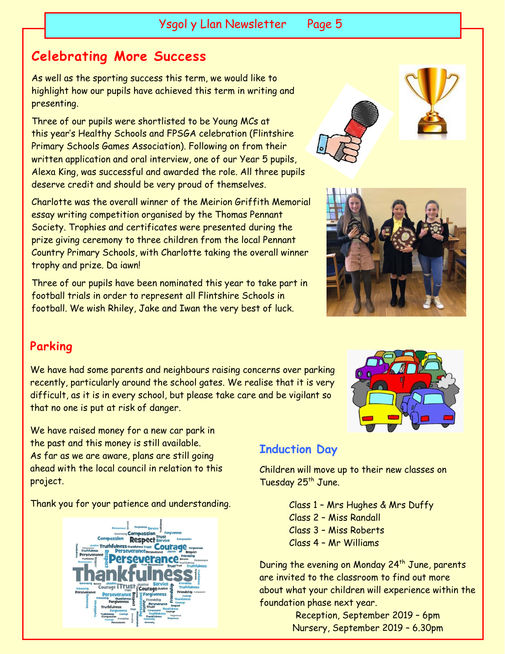# **Celebrating More Success**

As well as the sporting success this term, we would like to highlight how our pupils have achieved this term in writing and presenting.

Three of our pupils were shortlisted to be Young MCs at this year's Healthy Schools and FPSGA celebration (Flintshire Primary Schools Games Association). Following on from their written application and oral interview, one of our Year 5 pupils, Alexa King, was successful and awarded the role. All three pupils deserve credit and should be very proud of themselves.

Charlotte was the overall winner of the Meirion Griffith Memorial essay writing competition organised by the Thomas Pennant Society. Trophies and certificates were presented during the prize giving ceremony to three children from the local Pennant Country Primary Schools, with Charlotte taking the overall winner trophy and prize. Da iawn!

Three of our pupils have been nominated this year to take part in football trials in order to represent all Flintshire Schools in football. We wish Rhiley, Jake and Iwan the very best of luck.





#### **Parking**

We have had some parents and neighbours raising concerns over parking recently, particularly around the school gates. We realise that it is very difficult, as it is in every school, but please take care and be vigilant so that no one is put at risk of danger.

We have raised money for a new car park in the past and this money is still available. As far as we are aware, plans are still going ahead with the local council in relation to this project.

Thank you for your patience and understanding.



#### **Induction Day**

Children will move up to their new classes on Tuesday 25<sup>th</sup> June.

> Class 1 – Mrs Hughes & Mrs Duffy Class 2 – Miss Randall Class 3 – Miss Roberts Class 4 – Mr Williams

During the evening on Monday 24<sup>th</sup> June, parents are invited to the classroom to find out more about what your children will experience within the foundation phase next year.

> Reception, September 2019 – 6pm Nursery, September 2019 – 6.30pm